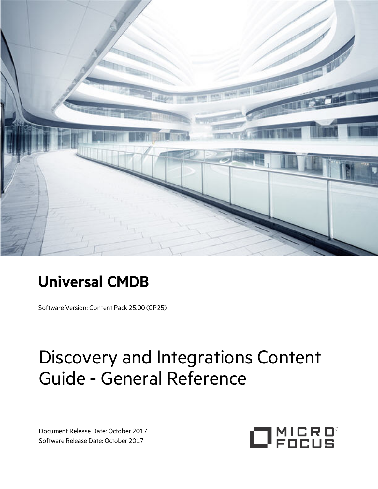

# **Universal CMDB**

Software Version: Content Pack 25.00 (CP25)

# Discovery and Integrations Content Guide - General Reference

Document Release Date: October 2017 Software Release Date: October 2017

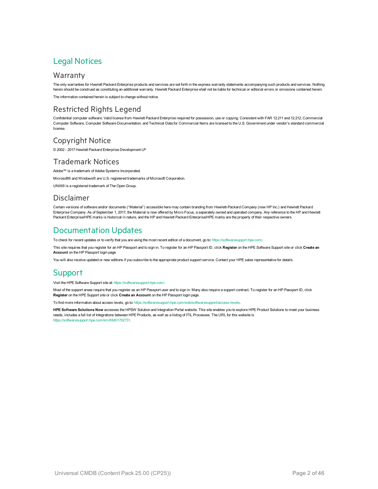### Legal Notices

#### **Warranty**

The only warranties for Hewlett Packard Enterprise products and services are set forth in the express warranty statements accompanying such products and services. Nothing herein should be construed as constituting an additional warranty. Hewlett Packard Enterprise shall not be liable for technical or editorial errors or omissions contained herein.

The information contained herein is subject to change without notice.

### Restricted Rights Legend

Confidential computer software. Valid license from Hewlett Packard Enterprise required for possession, use or copying. Consistent with FAR 12.211 and 12.212, Commercial Computer Software, Computer Software Documentation, and Technical Data for Commercial Items are licensed to the U.S. Government under vendor's standard commercial license.

### Copyright Notice

© 2002 - 2017 Hewlett Packard Enterprise Development LP

### Trademark Notices

Adobe™ is a trademark of Adobe Systems Incorporated.

Microsoft® and Windows® are U.S. registered trademarks of Microsoft Corporation.

UNIX® is a registered trademark of The Open Group.

### Disclaimer

Certain versions of software and/or documents ("Material") accessible here may contain branding from Hewlett-Packard Company (now HP Inc.) and Hewlett Packard Enterprise Company. As of September 1, 2017, the Material is now offered by Micro Focus, a separately owned and operated company. Any reference to the HP and Hewlett Packard Enterprise/HPE marks is historical in nature, and the HP and Hewlett Packard Enterprise/HPE marks are the property of their respective owners.

### Documentation Updates

To check for recent updates or to verify that you are using the most recent edition of a document, go to: <https://softwaresupport.hpe.com/>.

This site requires that you register for an HP Passport and to sign in. To register for an HP Passport ID, click **Register** on the HPE Software Support site or click **Create an Account** on the HP Passport login page.

You will also receive updated or new editions if you subscribe to the appropriate product support service. Contact your HPE sales representative for details.

### Support

Visit the HPE Software Support site at: <https://softwaresupport.hpe.com/>.

Most of the support areas require that you register as an HP Passport user and to sign in. Many also require a support contract. To register for an HP Passport ID, click **Register** on the HPE Support site or click **Create an Account** on the HP Passport login page.

To find more information about access levels, go to: <https://softwaresupport.hpe.com/web/softwaresupport/access-levels>.

**HPE Software Solutions Now** accesses the HPSW Solution and Integration Portal website. This site enables you to explore HPE Product Solutions to meet your business needs, includes a full list of Integrations between HPE Products, as well as a listing of ITIL Processes. The URL for this website is [https://softwaresupport.hpe.com/km/KM01702731.](https://softwaresupport.hpe.com/km/KM01702731)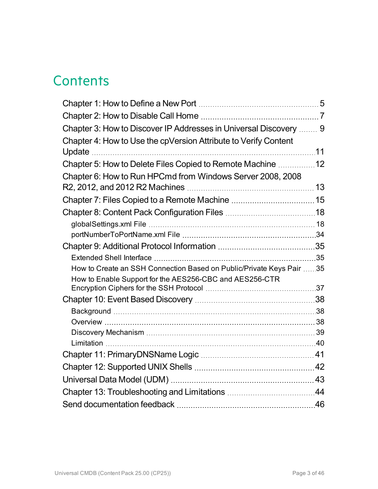## **Contents**

| Chapter 3: How to Discover IP Addresses in Universal Discovery  9    |  |
|----------------------------------------------------------------------|--|
| Chapter 4: How to Use the cpVersion Attribute to Verify Content      |  |
|                                                                      |  |
| Chapter 5: How to Delete Files Copied to Remote Machine  12          |  |
| Chapter 6: How to Run HPCmd from Windows Server 2008, 2008           |  |
|                                                                      |  |
|                                                                      |  |
|                                                                      |  |
|                                                                      |  |
|                                                                      |  |
|                                                                      |  |
| How to Create an SSH Connection Based on Public/Private Keys Pair 35 |  |
| How to Enable Support for the AES256-CBC and AES256-CTR              |  |
|                                                                      |  |
|                                                                      |  |
|                                                                      |  |
|                                                                      |  |
|                                                                      |  |
|                                                                      |  |
|                                                                      |  |
|                                                                      |  |
|                                                                      |  |
|                                                                      |  |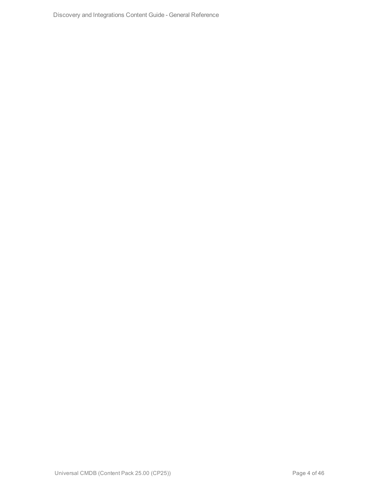Discovery and Integrations Content Guide - General Reference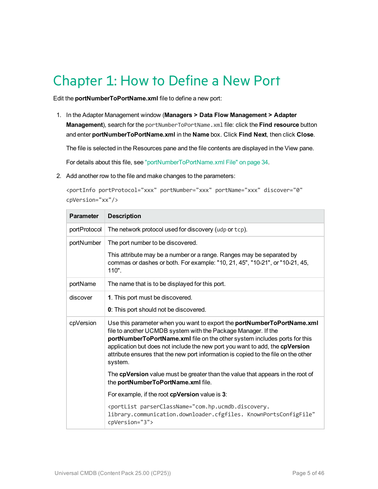## <span id="page-4-0"></span>Chapter 1: How to Define a New Port

Edit the **portNumberToPortName.xml** file to define a new port:

1. In the Adapter Management window (**Managers > Data Flow Management > Adapter Management**), search for the portNumberToPortName.xml file: click the **Find resource** button and enter **portNumberToPortName.xml** in the **Name** box. Click **Find Next**, then click **Close**.

The file is selected in the Resources pane and the file contents are displayed in the View pane.

For details about this file, see ["portNumberToPortName.xml](#page-33-0) File" on page 34.

2. Add another row to the file and make changes to the parameters:

| cpVersion="xx"/> | <portinfo <="" discover="0" portname="xxx" portnumber="xxx" portprotocol="xxx" th=""></portinfo>                                                                                                                                                                                                                                                                                                              |
|------------------|---------------------------------------------------------------------------------------------------------------------------------------------------------------------------------------------------------------------------------------------------------------------------------------------------------------------------------------------------------------------------------------------------------------|
| <b>Parameter</b> | <b>Description</b>                                                                                                                                                                                                                                                                                                                                                                                            |
| portProtocol     | The network protocol used for discovery (udp or tcp).                                                                                                                                                                                                                                                                                                                                                         |
| portNumber       | The port number to be discovered.<br>This attribute may be a number or a range. Ranges may be separated by<br>commas or dashes or both. For example: "10, 21, 45", "10-21", or "10-21, 45,<br>110".                                                                                                                                                                                                           |
| portName         | The name that is to be displayed for this port.                                                                                                                                                                                                                                                                                                                                                               |
| discover         | 1. This port must be discovered.<br>0: This port should not be discovered.                                                                                                                                                                                                                                                                                                                                    |
| cpVersion        | Use this parameter when you want to export the <b>portNumberToPortName.xml</b><br>file to another UCMDB system with the Package Manager. If the<br>portNumberToPortName.xml file on the other system includes ports for this<br>application but does not include the new port you want to add, the cpVersion<br>attribute ensures that the new port information is copied to the file on the other<br>system. |
|                  | The cpVersion value must be greater than the value that appears in the root of<br>the portNumberToPortName.xml file.                                                                                                                                                                                                                                                                                          |
|                  | For example, if the root cpVersion value is 3:                                                                                                                                                                                                                                                                                                                                                                |
|                  | <portlist <br="" parserclassname="com.hp.ucmdb.discovery.&lt;br&gt;library.communication.downloader.cfgfiles. KnownPortsConfigFile">cpVersion="3"&gt;</portlist>                                                                                                                                                                                                                                              |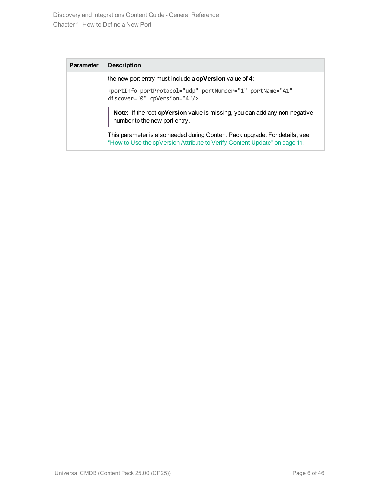| <b>Parameter</b> | <b>Description</b>                                                                                                                                       |
|------------------|----------------------------------------------------------------------------------------------------------------------------------------------------------|
|                  | the new port entry must include a cpVersion value of 4:                                                                                                  |
|                  | <portinfo <br="" portname="A1" portnumber="1" portprotocol="udp">discover="0" cpVersion="4"/&gt;</portinfo>                                              |
|                  | Note: If the root cpVersion value is missing, you can add any non-negative<br>number to the new port entry.                                              |
|                  | This parameter is also needed during Content Pack upgrade. For details, see<br>"How to Use the cpVersion Attribute to Verify Content Update" on page 11. |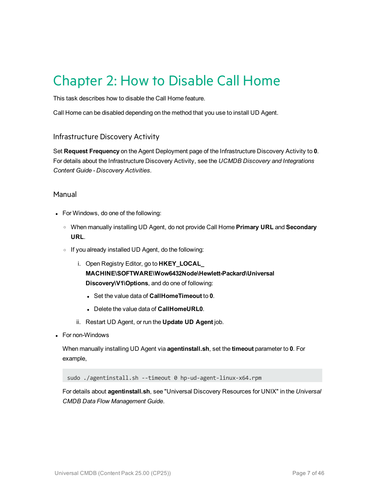## <span id="page-6-0"></span>Chapter 2: How to Disable Call Home

This task describes how to disable the Call Home feature.

Call Home can be disabled depending on the method that you use to install UD Agent.

#### Infrastructure Discovery Activity

Set **Request Frequency** on the Agent Deployment page of the Infrastructure Discovery Activity to **0**. For details about the Infrastructure Discovery Activity, see the *UCMDB Discovery and Integrations Content Guide - Discovery Activities*.

#### Manual

- For Windows, do one of the following:
	- <sup>o</sup> When manually installing UD Agent, do not provide Call Home **Primary URL** and **Secondary URL**.
	- <sup>o</sup> If you already installed UD Agent, do the following:
		- i. Open Registry Editor, go to **HKEY\_LOCAL\_ MACHINE\SOFTWARE\Wow6432Node\Hewlett-Packard\Universal Discovery\V1\Options**, and do one of following:
			- <sup>l</sup> Set the value data of **CallHomeTimeout** to **0**.
			- <sup>l</sup> Delete the value data of **CallHomeURL0**.
		- ii. Restart UD Agent, or run the **Update UD Agent** job.
- For non-Windows

When manually installing UD Agent via **agentinstall.sh**, set the **timeout** parameter to **0**. For example,

sudo ./agentinstall.sh --timeout 0 hp-ud-agent-linux-x64.rpm

For details about **agentinstall.sh**, see "Universal Discovery Resources for UNIX" in the *Universal CMDB Data Flow Management Guide*.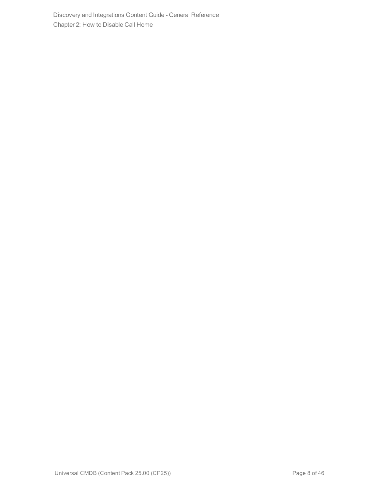Discovery and Integrations Content Guide - General Reference Chapter 2: How to Disable Call Home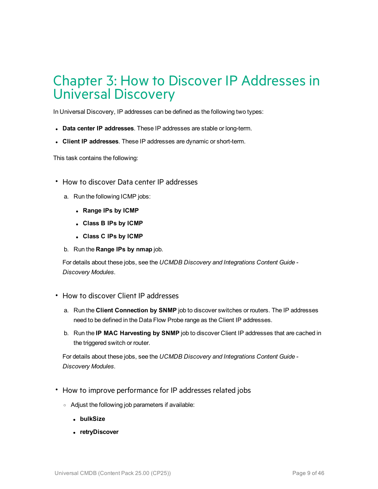## <span id="page-8-0"></span>Chapter 3: How to Discover IP Addresses in Universal Discovery

In Universal Discovery, IP addresses can be defined as the following two types:

- **Data center IP addresses**. These IP addresses are stable or long-term.
- <sup>l</sup> **Client IP addresses**. These IP addresses are dynamic or short-term.

This task contains the following:

- How to discover Data center IP addresses
	- a. Run the following ICMP jobs:
		- <sup>l</sup> **Range IPs by ICMP**
		- <sup>l</sup> **Class B IPs by ICMP**
		- <sup>l</sup> **Class C IPs by ICMP**
	- b. Run the **Range IPs by nmap** job.

For details about these jobs, see the *UCMDB Discovery and Integrations Content Guide - Discovery Modules*.

- How to discover Client IP addresses
	- a. Run the **Client Connection by SNMP** job to discover switches or routers. The IP addresses need to be defined in the Data Flow Probe range as the Client IP addresses.
	- b. Run the **IP MAC Harvesting by SNMP** job to discover Client IP addresses that are cached in the triggered switch or router.

For details about these jobs, see the *UCMDB Discovery and Integrations Content Guide - Discovery Modules*.

- How to improve performance for IP addresses related jobs
	- <sup>o</sup> Adjust the following job parameters if available:
		- **.** bulkSize
		- **retryDiscover**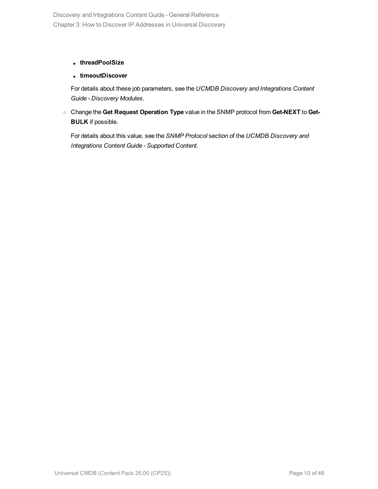#### $\cdot$  threadPoolSize

#### <sup>l</sup> **timeoutDiscover**

For details about these job parameters, see the *UCMDB Discovery and Integrations Content Guide - Discovery Modules*.

<sup>o</sup> Change the **Get Request Operation Type** value in the SNMP protocol from **Get-NEXT** to **Get-BULK** if possible.

For details about this value, see the *SNMP Protocol* section of the *UCMDB Discovery and Integrations Content Guide - Supported Content*.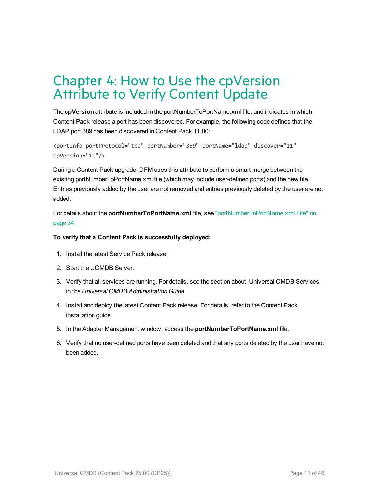## <span id="page-10-0"></span>Chapter 4: How to Use the cpVersion Attribute to Verify Content Update

The **cpVersion** attribute is included in the portNumberToPortName.xml file, and indicates in which Content Pack release a port has been discovered. For example, the following code defines that the LDAP port 389 has been discovered in Content Pack 11.00:

```
<portInfo portProtocol="tcp" portNumber="389" portName="ldap" discover="11"
cpVersion="11"/>
```
During a Content Pack upgrade, DFM uses this attribute to perform a smart merge between the existing portNumberToPortName.xml file (which may include user-defined ports) and the new file. Entries previously added by the user are not removed and entries previously deleted by the user are not added.

For details about the **portNumberToPortName.xml** file, see ["portNumberToPortName.xml](#page-33-0) File" on [page 34](#page-33-0).

#### **To verify that a Content Pack is successfully deployed:**

- 1. Install the latest Service Pack release.
- 2. Start the UCMDB Server.
- 3. Verify that all services are running. For details, see the section about Universal CMDB Services in the *Universal CMDB Administration Guide*.
- 4. Install and deploy the latest Content Pack release. For details, refer to the Content Pack installation guide.
- 5. In the Adapter Management window, access the **portNumberToPortName.xml** file.
- 6. Verify that no user-defined ports have been deleted and that any ports deleted by the user have not been added.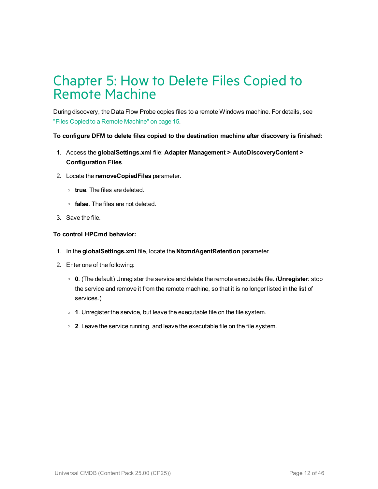## <span id="page-11-0"></span>Chapter 5: How to Delete Files Copied to Remote Machine

During discovery, the Data Flow Probe copies files to a remote Windows machine. For details, see "Files Copied to a Remote [Machine"](#page-14-0) on page 15.

**To configure DFM to delete files copied to the destination machine after discovery is finished:**

- 1. Access the **globalSettings.xml** file: **Adapter Management > AutoDiscoveryContent > Configuration Files**.
- 2. Locate the **removeCopiedFiles** parameter.
	- <sup>o</sup> **true**. The files are deleted.
	- <sup>o</sup> **false**. The files are not deleted.
- 3. Save the file.

#### **To control HPCmd behavior:**

- 1. In the **globalSettings.xml** file, locate the **NtcmdAgentRetention** parameter.
- 2. Enter one of the following:
	- <sup>o</sup> **0**. (The default) Unregister the service and delete the remote executable file. (**Unregister**: stop the service and remove it from the remote machine, so that it is no longer listed in the list of services.)
	- <sup>o</sup> **1**. Unregister the service, but leave the executable file on the file system.
	- <sup>o</sup> **2**. Leave the service running, and leave the executable file on the file system.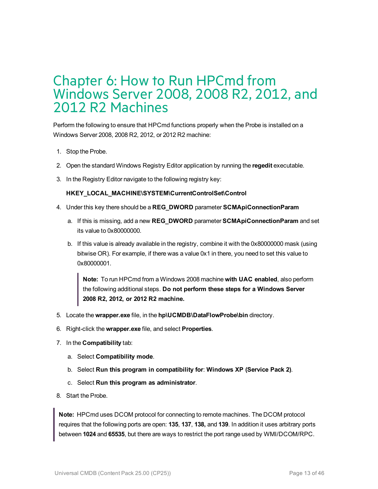### <span id="page-12-0"></span>Chapter 6: How to Run HPCmd from Windows Server 2008, 2008 R2, 2012, and 2012 R2 Machines

Perform the following to ensure that HPCmd functions properly when the Probe is installed on a Windows Server 2008, 2008 R2, 2012, or 2012 R2 machine:

- 1. Stop the Probe.
- 2. Open the standard Windows Registry Editor application by running the **regedit** executable.
- 3. In the Registry Editor navigate to the following registry key:

#### **HKEY\_LOCAL\_MACHINE\SYSTEM\CurrentControlSet\Control**

- 4. Under this key there should be a **REG\_DWORD** parameter **SCMApiConnectionParam**
	- a. If this is missing, add a new **REG\_DWORD** parameter **SCMApiConnectionParam** and set its value to 0x80000000.
	- b. If this value is already available in the registry, combine it with the 0x80000000 mask (using bitwise OR). For example, if there was a value 0x1 in there, you need to set this value to 0x80000001.

**Note:** To run HPCmd from a Windows 2008 machine **with UAC enabled**, also perform the following additional steps. **Do not perform these steps for a Windows Server 2008 R2, 2012, or 2012 R2 machine.**

- 5. Locate the **wrapper.exe** file, in the **hp\UCMDB\DataFlowProbe\bin** directory.
- 6. Right-click the **wrapper.exe** file, and select **Properties**.
- 7. In the **Compatibility** tab:
	- a. Select **Compatibility mode**.
	- b. Select **Run this program in compatibility for**: **Windows XP (Service Pack 2)**.
	- c. Select **Run this program as administrator**.
- 8. Start the Probe.

**Note:** HPCmd uses DCOM protocol for connecting to remote machines. The DCOM protocol requires that the following ports are open: **135**, **137**, **138,** and **139**. In addition it uses arbitrary ports between **1024** and **65535**, but there are ways to restrict the port range used by WMI/DCOM/RPC.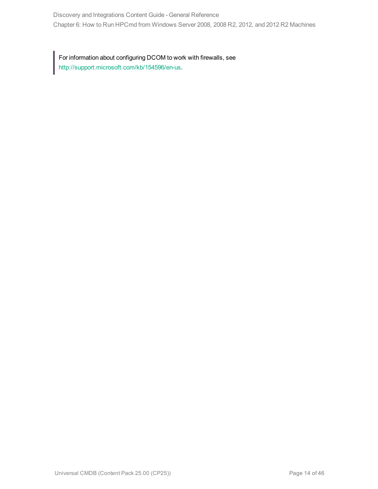For information about configuring DCOM to work with firewalls, see <http://support.microsoft.com/kb/154596/en-us>.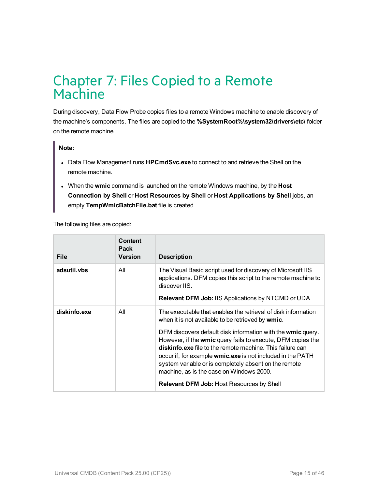## <span id="page-14-0"></span>Chapter 7: Files Copied to a Remote Machine

During discovery, Data Flow Probe copies files to a remote Windows machine to enable discovery of the machine's components. The files are copied to the **%SystemRoot%\system32\drivers\etc\** folder on the remote machine.

#### **Note:**

- **Data Flow Management runs HPCmdSvc.exe to connect to and retrieve the Shell on the** remote machine.
- <sup>l</sup> When the **wmic** command is launched on the remote Windows machine, by the **Host Connection by Shell** or **Host Resources by Shell** or **Host Applications by Shell** jobs, an empty **TempWmicBatchFile.bat** file is created.

The following files are copied:

| <b>File</b>  | Content<br><b>Pack</b><br><b>Version</b> | <b>Description</b>                                                                                                                                                                                                                                                                                                                                                                                                                                                                                                            |
|--------------|------------------------------------------|-------------------------------------------------------------------------------------------------------------------------------------------------------------------------------------------------------------------------------------------------------------------------------------------------------------------------------------------------------------------------------------------------------------------------------------------------------------------------------------------------------------------------------|
| adsutil.ybs  | All                                      | The Visual Basic script used for discovery of Microsoft IIS<br>applications. DFM copies this script to the remote machine to<br>discover IIS.<br>Relevant DFM Job: IIS Applications by NTCMD or UDA                                                                                                                                                                                                                                                                                                                           |
| diskinfo.exe | All                                      | The executable that enables the retrieval of disk information<br>when it is not available to be retrieved by wmic.<br>DFM discovers default disk information with the wmic query.<br>However, if the wmic query fails to execute, DFM copies the<br>diskinfo.exe file to the remote machine. This failure can<br>occur if, for example wmic.exe is not included in the PATH<br>system variable or is completely absent on the remote<br>machine, as is the case on Windows 2000.<br>Relevant DFM Job: Host Resources by Shell |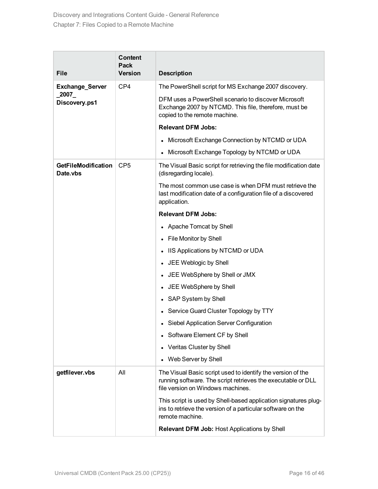| <b>File</b>                            | <b>Content</b><br>Pack<br><b>Version</b> | <b>Description</b>                                                                                                                                               |
|----------------------------------------|------------------------------------------|------------------------------------------------------------------------------------------------------------------------------------------------------------------|
| <b>Exchange_Server</b>                 | CP4                                      | The PowerShell script for MS Exchange 2007 discovery.                                                                                                            |
| 2007<br>Discovery.ps1                  |                                          | DFM uses a PowerShell scenario to discover Microsoft<br>Exchange 2007 by NTCMD. This file, therefore, must be<br>copied to the remote machine.                   |
|                                        |                                          | <b>Relevant DFM Jobs:</b>                                                                                                                                        |
|                                        |                                          | • Microsoft Exchange Connection by NTCMD or UDA                                                                                                                  |
|                                        |                                          | Microsoft Exchange Topology by NTCMD or UDA                                                                                                                      |
| <b>GetFileModification</b><br>Date vbs | CP <sub>5</sub>                          | The Visual Basic script for retrieving the file modification date<br>(disregarding locale).                                                                      |
|                                        |                                          | The most common use case is when DFM must retrieve the<br>last modification date of a configuration file of a discovered<br>application.                         |
|                                        |                                          | <b>Relevant DFM Jobs:</b>                                                                                                                                        |
|                                        |                                          | • Apache Tomcat by Shell                                                                                                                                         |
|                                        |                                          | • File Monitor by Shell                                                                                                                                          |
|                                        |                                          | • IIS Applications by NTCMD or UDA                                                                                                                               |
|                                        |                                          | • JEE Weblogic by Shell                                                                                                                                          |
|                                        |                                          | • JEE WebSphere by Shell or JMX                                                                                                                                  |
|                                        |                                          | • JEE WebSphere by Shell                                                                                                                                         |
|                                        |                                          | • SAP System by Shell                                                                                                                                            |
|                                        |                                          | Service Guard Cluster Topology by TTY                                                                                                                            |
|                                        |                                          | • Siebel Application Server Configuration                                                                                                                        |
|                                        |                                          | • Software Element CF by Shell                                                                                                                                   |
|                                        |                                          | • Veritas Cluster by Shell                                                                                                                                       |
|                                        |                                          | • Web Server by Shell                                                                                                                                            |
| getfilever.vbs                         | All                                      | The Visual Basic script used to identify the version of the<br>running software. The script retrieves the executable or DLL<br>file version on Windows machines. |
|                                        |                                          | This script is used by Shell-based application signatures plug-<br>ins to retrieve the version of a particular software on the<br>remote machine.                |
|                                        |                                          | Relevant DFM Job: Host Applications by Shell                                                                                                                     |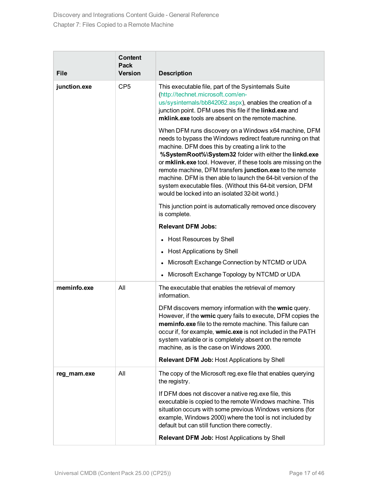| <b>File</b>  | <b>Content</b><br>Pack<br><b>Version</b> | <b>Description</b>                                                                                                                                                                                                                                                                                                                                                                                                                                                                                                                                  |
|--------------|------------------------------------------|-----------------------------------------------------------------------------------------------------------------------------------------------------------------------------------------------------------------------------------------------------------------------------------------------------------------------------------------------------------------------------------------------------------------------------------------------------------------------------------------------------------------------------------------------------|
| junction.exe | CP <sub>5</sub>                          | This executable file, part of the Sysinternals Suite<br>(http://technet.microsoft.com/en-<br>us/sysinternals/bb842062.aspx), enables the creation of a<br>junction point. DFM uses this file if the linkd.exe and<br>mklink.exe tools are absent on the remote machine.                                                                                                                                                                                                                                                                             |
|              |                                          | When DFM runs discovery on a Windows x64 machine, DFM<br>needs to bypass the Windows redirect feature running on that<br>machine. DFM does this by creating a link to the<br>%SystemRoot%\System32 folder with either the linkd.exe<br>or mklink.exe tool. However, if these tools are missing on the<br>remote machine, DFM transfers junction.exe to the remote<br>machine. DFM is then able to launch the 64-bit version of the<br>system executable files. (Without this 64-bit version, DFM<br>would be locked into an isolated 32-bit world.) |
|              |                                          | This junction point is automatically removed once discovery<br>is complete.                                                                                                                                                                                                                                                                                                                                                                                                                                                                         |
|              |                                          | <b>Relevant DFM Jobs:</b>                                                                                                                                                                                                                                                                                                                                                                                                                                                                                                                           |
|              |                                          | • Host Resources by Shell                                                                                                                                                                                                                                                                                                                                                                                                                                                                                                                           |
|              |                                          | • Host Applications by Shell                                                                                                                                                                                                                                                                                                                                                                                                                                                                                                                        |
|              |                                          | Microsoft Exchange Connection by NTCMD or UDA                                                                                                                                                                                                                                                                                                                                                                                                                                                                                                       |
|              |                                          | Microsoft Exchange Topology by NTCMD or UDA                                                                                                                                                                                                                                                                                                                                                                                                                                                                                                         |
| meminfo.exe  | All                                      | The executable that enables the retrieval of memory<br>information.                                                                                                                                                                                                                                                                                                                                                                                                                                                                                 |
|              |                                          | DFM discovers memory information with the wmic query.<br>However, if the wmic query fails to execute, DFM copies the<br>meminfo.exe file to the remote machine. This failure can<br>occur if, for example, wmic.exe is not included in the PATH<br>system variable or is completely absent on the remote<br>machine, as is the case on Windows 2000.                                                                                                                                                                                                |
|              |                                          | Relevant DFM Job: Host Applications by Shell                                                                                                                                                                                                                                                                                                                                                                                                                                                                                                        |
| reg_mam.exe  | All                                      | The copy of the Microsoft reg.exe file that enables querying<br>the registry.                                                                                                                                                                                                                                                                                                                                                                                                                                                                       |
|              |                                          | If DFM does not discover a native reg.exe file, this<br>executable is copied to the remote Windows machine. This<br>situation occurs with some previous Windows versions (for<br>example, Windows 2000) where the tool is not included by<br>default but can still function there correctly.                                                                                                                                                                                                                                                        |
|              |                                          | Relevant DFM Job: Host Applications by Shell                                                                                                                                                                                                                                                                                                                                                                                                                                                                                                        |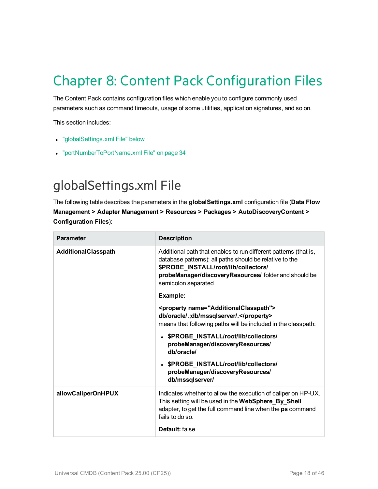# <span id="page-17-0"></span>Chapter 8: Content Pack Configuration Files

The Content Pack contains configuration files which enable you to configure commonly used parameters such as command timeouts, usage of some utilities, application signatures, and so on.

This section includes:

- ["globalSettings.xml](#page-17-1) File" below
- ["portNumberToPortName.xml](#page-33-0) File" on page 34

### <span id="page-17-1"></span>globalSettings.xml File

The following table describes the parameters in the **globalSettings.xml** configuration file (**Data Flow Management > Adapter Management > Resources > Packages > AutoDiscoveryContent > Configuration Files**):

| <b>Parameter</b>    | <b>Description</b>                                                                                                                                                                                                                                  |
|---------------------|-----------------------------------------------------------------------------------------------------------------------------------------------------------------------------------------------------------------------------------------------------|
| AdditionalClasspath | Additional path that enables to run different patterns (that is,<br>database patterns); all paths should be relative to the<br>\$PROBE_INSTALL/root/lib/collectors/<br>probeManager/discoveryResources/ folder and should be<br>semicolon separated |
|                     | Example:                                                                                                                                                                                                                                            |
|                     | <property name="AdditionalClasspath"><br/>db/oracle/.;db/mssqlserver/.</property><br>means that following paths will be included in the classpath:                                                                                                  |
|                     | • \$PROBE_INSTALL/root/lib/collectors/<br>probeManager/discoveryResources/<br>db/oracle/                                                                                                                                                            |
|                     | • \$PROBE_INSTALL/root/lib/collectors/<br>probeManager/discoveryResources/<br>db/mssqlserver/                                                                                                                                                       |
| allowCaliperOnHPUX  | Indicates whether to allow the execution of caliper on HP-UX.<br>This setting will be used in the WebSphere_By_Shell<br>adapter, to get the full command line when the ps command<br>fails to do so.                                                |
|                     | Default: false                                                                                                                                                                                                                                      |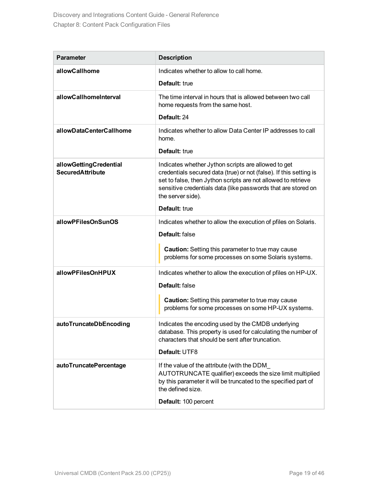| <b>Parameter</b>                                  | <b>Description</b>                                                                                                                                                                                                                                                                                |
|---------------------------------------------------|---------------------------------------------------------------------------------------------------------------------------------------------------------------------------------------------------------------------------------------------------------------------------------------------------|
| allowCallhome                                     | Indicates whether to allow to call home.<br>Default: true                                                                                                                                                                                                                                         |
| allowCallhomeInterval                             | The time interval in hours that is allowed between two call<br>home requests from the same host.<br>Default: 24                                                                                                                                                                                   |
| allowDataCenterCallhome                           | Indicates whether to allow Data Center IP addresses to call<br>home.<br>Default: true                                                                                                                                                                                                             |
| allowGettingCredential<br><b>SecuredAttribute</b> | Indicates whether Jython scripts are allowed to get<br>credentials secured data (true) or not (false). If this setting is<br>set to false, then Jython scripts are not allowed to retrieve<br>sensitive credentials data (like passwords that are stored on<br>the server side).<br>Default: true |
| allowPFilesOnSunOS                                | Indicates whether to allow the execution of pfiles on Solaris.<br>Default: false<br><b>Caution:</b> Setting this parameter to true may cause<br>problems for some processes on some Solaris systems.                                                                                              |
| allowPFilesOnHPUX                                 | Indicates whether to allow the execution of pfiles on HP-UX.<br>Default: false<br><b>Caution:</b> Setting this parameter to true may cause<br>problems for some processes on some HP-UX systems.                                                                                                  |
| autoTruncateDbEncoding                            | Indicates the encoding used by the CMDB underlying<br>database. This property is used for calculating the number of<br>characters that should be sent after truncation.<br>Default: UTF8                                                                                                          |
| autoTruncatePercentage                            | If the value of the attribute (with the DDM<br>AUTOTRUNCATE qualifier) exceeds the size limit multiplied<br>by this parameter it will be truncated to the specified part of<br>the defined size.<br>Default: 100 percent                                                                          |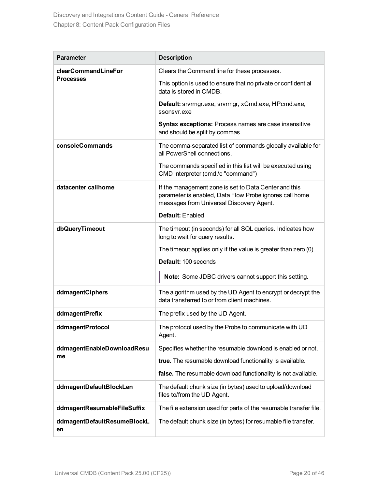| <b>Parameter</b>                        | <b>Description</b>                                                                                                                                           |
|-----------------------------------------|--------------------------------------------------------------------------------------------------------------------------------------------------------------|
| clearCommandLineFor<br><b>Processes</b> | Clears the Command line for these processes.                                                                                                                 |
|                                         | This option is used to ensure that no private or confidential<br>data is stored in CMDB.                                                                     |
|                                         | Default: srvrmgr.exe, srvrmgr, xCmd.exe, HPcmd.exe,<br>ssonsvr.exe                                                                                           |
|                                         | <b>Syntax exceptions: Process names are case insensitive</b><br>and should be split by commas.                                                               |
| consoleCommands                         | The comma-separated list of commands globally available for<br>all PowerShell connections.                                                                   |
|                                         | The commands specified in this list will be executed using<br>CMD interpreter (cmd /c "command")                                                             |
| datacenter callhome                     | If the management zone is set to Data Center and this<br>parameter is enabled, Data Flow Probe ignores call home<br>messages from Universal Discovery Agent. |
|                                         | <b>Default: Enabled</b>                                                                                                                                      |
| dbQueryTimeout                          | The timeout (in seconds) for all SQL queries. Indicates how<br>long to wait for query results.                                                               |
|                                         | The timeout applies only if the value is greater than zero (0).                                                                                              |
|                                         | Default: 100 seconds                                                                                                                                         |
|                                         | Note: Some JDBC drivers cannot support this setting.                                                                                                         |
| ddmagentCiphers                         | The algorithm used by the UD Agent to encrypt or decrypt the<br>data transferred to or from client machines.                                                 |
| ddmagentPrefix                          | The prefix used by the UD Agent.                                                                                                                             |
| ddmagentProtocol                        | The protocol used by the Probe to communicate with UD<br>Agent.                                                                                              |
| ddmagentEnableDownloadResu              | Specifies whether the resumable download is enabled or not.                                                                                                  |
| me                                      | true. The resumable download functionality is available.                                                                                                     |
|                                         | false. The resumable download functionality is not available.                                                                                                |
| ddmagentDefaultBlockLen                 | The default chunk size (in bytes) used to upload/download<br>files to/from the UD Agent.                                                                     |
| ddmagentResumableFileSuffix             | The file extension used for parts of the resumable transfer file.                                                                                            |
| ddmagentDefaultResumeBlockL<br>en       | The default chunk size (in bytes) for resumable file transfer.                                                                                               |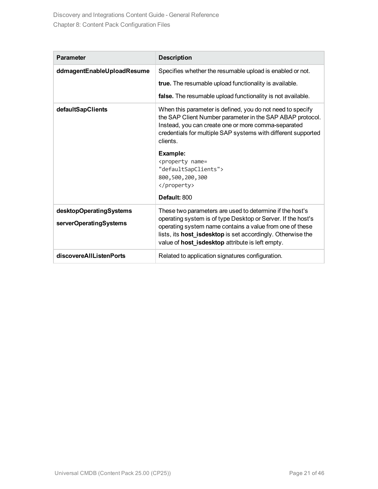Discovery and Integrations Content Guide - General Reference Chapter 8: Content Pack Configuration Files

| <b>Parameter</b>                                  | <b>Description</b>                                                                                                                                                                                                                                                                                      |
|---------------------------------------------------|---------------------------------------------------------------------------------------------------------------------------------------------------------------------------------------------------------------------------------------------------------------------------------------------------------|
| ddmagentEnableUploadResume                        | Specifies whether the resumable upload is enabled or not.<br>true. The resumable upload functionality is available.<br>false. The resumable upload functionality is not available.                                                                                                                      |
| defaultSapClients                                 | When this parameter is defined, you do not need to specify<br>the SAP Client Number parameter in the SAP ABAP protocol.<br>Instead, you can create one or more comma-separated<br>credentials for multiple SAP systems with different supported<br>clients.                                             |
|                                                   | Example:<br><property name="&lt;br">"defaultSapClients"&gt;<br/>800,500,200,300<br/></property><br>Default: 800                                                                                                                                                                                         |
| desktopOperatingSystems<br>serverOperatingSystems | These two parameters are used to determine if the host's<br>operating system is of type Desktop or Server. If the host's<br>operating system name contains a value from one of these<br>lists, its host_isdesktop is set accordingly. Otherwise the<br>value of host_isdesktop attribute is left empty. |
| discovereAllListenPorts                           | Related to application signatures configuration.                                                                                                                                                                                                                                                        |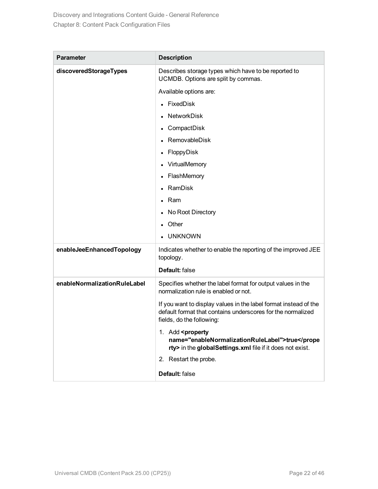| <b>Parameter</b>             | <b>Description</b>                                                                                                                                           |
|------------------------------|--------------------------------------------------------------------------------------------------------------------------------------------------------------|
| discoveredStorageTypes       | Describes storage types which have to be reported to<br>UCMDB. Options are split by commas.                                                                  |
|                              | Available options are:                                                                                                                                       |
|                              | FixedDisk                                                                                                                                                    |
|                              | NetworkDisk                                                                                                                                                  |
|                              | CompactDisk                                                                                                                                                  |
|                              | RemovableDisk                                                                                                                                                |
|                              | FloppyDisk                                                                                                                                                   |
|                              | VirtualMemory                                                                                                                                                |
|                              | FlashMemory                                                                                                                                                  |
|                              | RamDisk                                                                                                                                                      |
|                              | • Ram                                                                                                                                                        |
|                              | No Root Directory                                                                                                                                            |
|                              | Other                                                                                                                                                        |
|                              | <b>UNKNOWN</b>                                                                                                                                               |
| enableJeeEnhancedTopology    | Indicates whether to enable the reporting of the improved JEE<br>topology.                                                                                   |
|                              | Default: false                                                                                                                                               |
| enableNormalizationRuleLabel | Specifies whether the label format for output values in the<br>normalization rule is enabled or not.                                                         |
|                              | If you want to display values in the label format instead of the<br>default format that contains underscores for the normalized<br>fields, do the following: |
|                              | 1. Add <property<br>name="enableNormalizationRuleLabel"&gt;truerty&gt; in the globalSettings.xml file if it does not exist.</property<br>                    |
|                              | 2. Restart the probe.                                                                                                                                        |
|                              | Default: false                                                                                                                                               |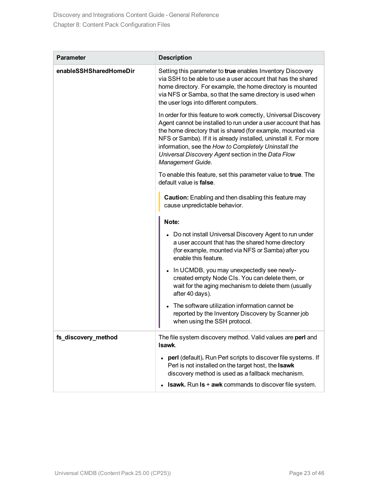| <b>Parameter</b>       | <b>Description</b>                                                                                                                                                                                                                                                                                                                                                                                        |
|------------------------|-----------------------------------------------------------------------------------------------------------------------------------------------------------------------------------------------------------------------------------------------------------------------------------------------------------------------------------------------------------------------------------------------------------|
| enableSSHSharedHomeDir | Setting this parameter to true enables Inventory Discovery<br>via SSH to be able to use a user account that has the shared<br>home directory. For example, the home directory is mounted<br>via NFS or Samba, so that the same directory is used when<br>the user logs into different computers.                                                                                                          |
|                        | In order for this feature to work correctly, Universal Discovery<br>Agent cannot be installed to run under a user account that has<br>the home directory that is shared (for example, mounted via<br>NFS or Samba). If it is already installed, uninstall it. For more<br>information, see the How to Completely Uninstall the<br>Universal Discovery Agent section in the Data Flow<br>Management Guide. |
|                        | To enable this feature, set this parameter value to true. The<br>default value is false.                                                                                                                                                                                                                                                                                                                  |
|                        | <b>Caution:</b> Enabling and then disabling this feature may<br>cause unpredictable behavior.                                                                                                                                                                                                                                                                                                             |
|                        | Note:                                                                                                                                                                                                                                                                                                                                                                                                     |
|                        | • Do not install Universal Discovery Agent to run under<br>a user account that has the shared home directory<br>(for example, mounted via NFS or Samba) after you<br>enable this feature.                                                                                                                                                                                                                 |
|                        | • In UCMDB, you may unexpectedly see newly-<br>created empty Node CIs. You can delete them, or<br>wait for the aging mechanism to delete them (usually<br>after 40 days).                                                                                                                                                                                                                                 |
|                        | The software utilization information cannot be<br>reported by the Inventory Discovery by Scanner job<br>when using the SSH protocol.                                                                                                                                                                                                                                                                      |
| fs_discovery_method    | The file system discovery method. Valid values are perl and<br>Isawk.                                                                                                                                                                                                                                                                                                                                     |
|                        | • perl (default). Run Perl scripts to discover file systems. If<br>Perl is not installed on the target host, the Isawk<br>discovery method is used as a fallback mechanism.                                                                                                                                                                                                                               |
|                        | <b>Isawk.</b> Run Is + awk commands to discover file system.                                                                                                                                                                                                                                                                                                                                              |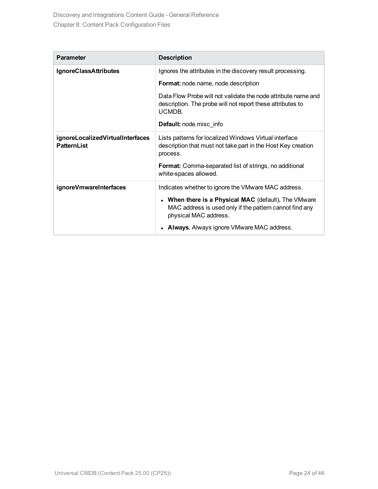| <b>Parameter</b>                                       | <b>Description</b>                                                                                                                       |
|--------------------------------------------------------|------------------------------------------------------------------------------------------------------------------------------------------|
| <b>IgnoreClassAttributes</b>                           | Ignores the attributes in the discovery result processing.                                                                               |
|                                                        | <b>Format:</b> node.name, node.description                                                                                               |
|                                                        | Data Flow Probe will not validate the node attribute name and<br>description. The probe will not report these attributes to<br>UCMDB.    |
|                                                        | Default: node.misc info                                                                                                                  |
| ignoreLocalizedVirtualInterfaces<br><b>PatternList</b> | Lists patterns for localized Windows Virtual interface<br>description that must not take part in the Host Key creation<br>process.       |
|                                                        | <b>Format:</b> Comma-separated list of strings, no additional<br>white-spaces allowed.                                                   |
| ignoreVmwareInterfaces                                 | Indicates whether to ignore the VMware MAC address.                                                                                      |
|                                                        | • When there is a Physical MAC (default). The VMware<br>MAC address is used only if the pattern cannot find any<br>physical MAC address. |
|                                                        | <b>Always.</b> Always ignore VMware MAC address.                                                                                         |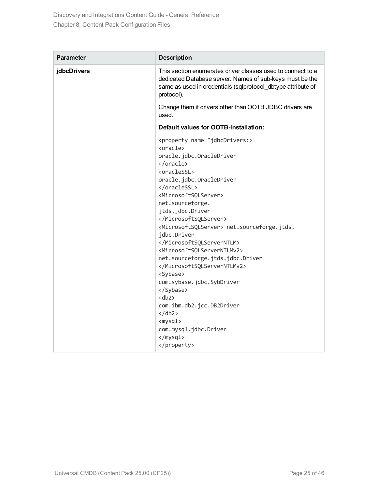| <b>Parameter</b> | <b>Description</b>                                                                                                                                                                                                                                                                                                                                                                              |
|------------------|-------------------------------------------------------------------------------------------------------------------------------------------------------------------------------------------------------------------------------------------------------------------------------------------------------------------------------------------------------------------------------------------------|
| jdbcDrivers      | This section enumerates driver classes used to connect to a<br>dedicated Database server. Names of sub-keys must be the<br>same as used in credentials (sqlprotocol_dbtype attribute of<br>protocol).                                                                                                                                                                                           |
|                  | Change them if drivers other than OOTB JDBC drivers are<br>used.                                                                                                                                                                                                                                                                                                                                |
|                  | Default values for OOTB-installation:                                                                                                                                                                                                                                                                                                                                                           |
|                  | <property name="jdbcDrivers:><br><oracle><br/>oracle.jdbc.OracleDriver<br/></oracle><br><oraclessl><br/>oracle.jdbc.OracleDriver<br/></oraclessl><br><microsoftsqlserver><br/>net.sourceforge.<br/>jtds.jdbc.Driver<br/></microsoftsqlserver><br><microsoftsqlserver> net.sourceforge.jtds.<br/>jdbc.Driver<br/><br/><microsoftsqlserverntlmv2></microsoftsqlserverntlmv2></microsoftsqlserver> |
|                  | net.sourceforge.jtds.jdbc.Driver<br><br><sybase></sybase>                                                                                                                                                                                                                                                                                                                                       |
|                  | com.sybase.jdbc.SybDriver                                                                                                                                                                                                                                                                                                                                                                       |
|                  | <br>db2                                                                                                                                                                                                                                                                                                                                                                                         |
|                  | com.ibm.db2.jcc.DB2Driver<br>$\langle$ /db2>                                                                                                                                                                                                                                                                                                                                                    |
|                  | <mysql></mysql>                                                                                                                                                                                                                                                                                                                                                                                 |
|                  | com.mysql.jdbc.Driver<br>                                                                                                                                                                                                                                                                                                                                                                       |
|                  |                                                                                                                                                                                                                                                                                                                                                                                                 |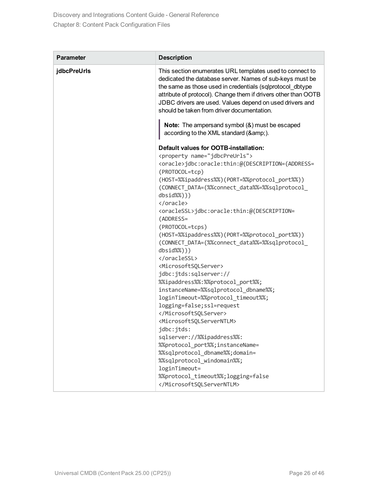| <b>Parameter</b> | <b>Description</b>                                                                                                                                                                                                                                                                                                                                             |
|------------------|----------------------------------------------------------------------------------------------------------------------------------------------------------------------------------------------------------------------------------------------------------------------------------------------------------------------------------------------------------------|
| jdbcPreUrls      | This section enumerates URL templates used to connect to<br>dedicated the database server. Names of sub-keys must be<br>the same as those used in credentials (sqlprotocol dbtype)<br>attribute of protocol). Change them if drivers other than OOTB<br>JDBC drivers are used. Values depend on used drivers and<br>should be taken from driver documentation. |
|                  | Note: The ampersand symbol (&) must be escaped<br>according to the XML standard (&).                                                                                                                                                                                                                                                                           |
|                  | Default values for OOTB-installation:                                                                                                                                                                                                                                                                                                                          |
|                  | <property name="jdbcPreUrls"></property>                                                                                                                                                                                                                                                                                                                       |
|                  | <oracle>jdbc:oracle:thin:@(DESCRIPTION=(ADDRESS=<br/>(PROTOCOL=tcp)</oracle>                                                                                                                                                                                                                                                                                   |
|                  | (HOST=%%ipaddress%%)(PORT=%%protocol_port%%))                                                                                                                                                                                                                                                                                                                  |
|                  | (CONNECT_DATA=(%%connect_data%%=%%sqlprotocol_                                                                                                                                                                                                                                                                                                                 |
|                  | $dbsid\%))$                                                                                                                                                                                                                                                                                                                                                    |
|                  |                                                                                                                                                                                                                                                                                                                                                                |
|                  | <oraclessl>jdbc:oracle:thin:@(DESCRIPTION=</oraclessl>                                                                                                                                                                                                                                                                                                         |
|                  | (ADDRESS=                                                                                                                                                                                                                                                                                                                                                      |
|                  | (PROTOCOL=tcps)                                                                                                                                                                                                                                                                                                                                                |
|                  | (HOST=%%ipaddress%%)(PORT=%%protocol_port%%))<br>(CONNECT_DATA=(%%connect_data%%=%%sqlprotocol_                                                                                                                                                                                                                                                                |
|                  | $dbsid\%))$                                                                                                                                                                                                                                                                                                                                                    |
|                  | <br><microsoftsqlserver></microsoftsqlserver>                                                                                                                                                                                                                                                                                                                  |
|                  | jdbc:jtds:sqlserver://                                                                                                                                                                                                                                                                                                                                         |
|                  | %%ipaddress%%:%%protocol_port%%;                                                                                                                                                                                                                                                                                                                               |
|                  | instanceName=%%sqlprotocol_dbname%%;                                                                                                                                                                                                                                                                                                                           |
|                  | loginTimeout=%%protocol_timeout%%;                                                                                                                                                                                                                                                                                                                             |
|                  | logging=false; ssl=request                                                                                                                                                                                                                                                                                                                                     |
|                  |                                                                                                                                                                                                                                                                                                                                                                |
|                  | <microsoftsqlserverntlm></microsoftsqlserverntlm>                                                                                                                                                                                                                                                                                                              |
|                  | jdbc: jtds:                                                                                                                                                                                                                                                                                                                                                    |
|                  | sqlserver://%%ipaddress%%:                                                                                                                                                                                                                                                                                                                                     |
|                  | %%protocol_port%%;instanceName=                                                                                                                                                                                                                                                                                                                                |
|                  | %%sqlprotocol_dbname%%;domain=                                                                                                                                                                                                                                                                                                                                 |
|                  | %%sqlprotocol_windomain%%;                                                                                                                                                                                                                                                                                                                                     |
|                  | loginTimeout=                                                                                                                                                                                                                                                                                                                                                  |
|                  | %%protocol timeout%%; logging=false                                                                                                                                                                                                                                                                                                                            |
|                  |                                                                                                                                                                                                                                                                                                                                                                |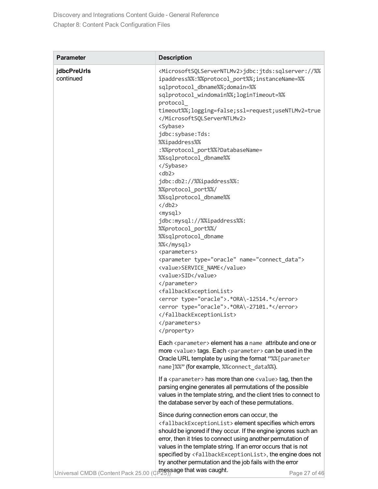| <b>Parameter</b>         | <b>Description</b>                                                                                                                                                                                                                                                                                                                                                                                                                                                                                                                                                                                                                                                                                                                                                                                                                                                                                                                                         |
|--------------------------|------------------------------------------------------------------------------------------------------------------------------------------------------------------------------------------------------------------------------------------------------------------------------------------------------------------------------------------------------------------------------------------------------------------------------------------------------------------------------------------------------------------------------------------------------------------------------------------------------------------------------------------------------------------------------------------------------------------------------------------------------------------------------------------------------------------------------------------------------------------------------------------------------------------------------------------------------------|
| jdbcPreUrls<br>continued | <microsoftsqlserverntlmv2>jdbc:jtds:sqlserver://%%<br/>ipaddress%%:%%protocol_port%%;instanceName=%%<br/>sqlprotocol_dbname%%;domain=%%<br/>sqlprotocol_windomain%%;loginTimeout=%%<br/>protocol<br/>timeout%%;logging=false;ssl=request;useNTLMv2=true<br/></microsoftsqlserverntlmv2><br><sybase><br/>jdbc:sybase:Tds:<br/>%%ipaddress%<br/>:%%protocol_port%%?DatabaseName=<br/>%%sqlprotocol_dbname%%<br/></sybase><br>$dh2$<br>jdbc:db2://%%ipaddress%%:<br>%%protocol_port%%/<br>%%sqlprotocol_dbname%%<br>$\langle$ /db2><br><mysql><br/>jdbc:mysql://%%ipaddress%%:<br/>%%protocol_port%%/<br/>%%sqlprotocol_dbname<br/>%%</mysql><br><parameters><br/><parameter name="connect_data" type="oracle"><br/><value>SERVICE_NAME</value><br/><value>SID</value><br/></parameter><br/><fallbackexceptionlist><br/><error type="oracle">.*ORA\-12514.*</error><br/><error type="oracle">.*ORA\-27101.*</error><br/></fallbackexceptionlist></parameters> |
|                          | <br><br>Each <parameter> element has a name attribute and one or<br/>more <value> tags. Each <parameter> can be used in the<br/>Oracle URL template by using the format "%% [parameter</parameter></value></parameter>                                                                                                                                                                                                                                                                                                                                                                                                                                                                                                                                                                                                                                                                                                                                     |
|                          | name]%%" (for example, %%connect_data%%).<br>If a <parameter> has more than one <value> tag, then the<br/>parsing engine generates all permutations of the possible<br/>values in the template string, and the client tries to connect to<br/>the database server by each of these permutations.</value></parameter>                                                                                                                                                                                                                                                                                                                                                                                                                                                                                                                                                                                                                                       |
|                          | Since during connection errors can occur, the<br><fallbackexceptionlist> element specifies which errors<br/>should be ignored if they occur. If the engine ignores such an<br/>error, then it tries to connect using another permutation of<br/>values in the template string. If an error occurs that is not<br/>specified by <fallbackexceptionlist>, the engine does not<br/>try another permutation and the job fails with the error</fallbackexceptionlist></fallbackexceptionlist>                                                                                                                                                                                                                                                                                                                                                                                                                                                                   |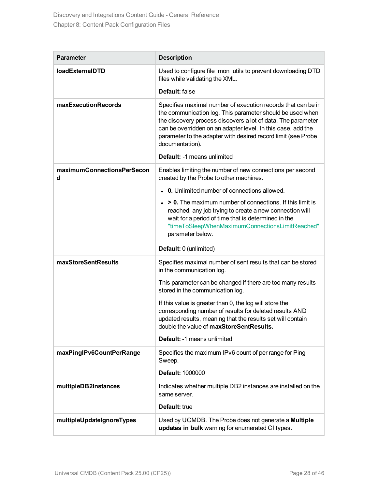<span id="page-27-0"></span>

| <b>Parameter</b>           | <b>Description</b>                                                                                                                                                                                                                                                                                                                                                           |
|----------------------------|------------------------------------------------------------------------------------------------------------------------------------------------------------------------------------------------------------------------------------------------------------------------------------------------------------------------------------------------------------------------------|
| <b>loadExternalDTD</b>     | Used to configure file_mon_utils to prevent downloading DTD<br>files while validating the XML.                                                                                                                                                                                                                                                                               |
|                            | Default: false                                                                                                                                                                                                                                                                                                                                                               |
| maxExecutionRecords        | Specifies maximal number of execution records that can be in<br>the communication log. This parameter should be used when<br>the discovery process discovers a lot of data. The parameter<br>can be overridden on an adapter level. In this case, add the<br>parameter to the adapter with desired record limit (see Probe<br>documentation).<br>Default: -1 means unlimited |
| maximumConnectionsPerSecon | Enables limiting the number of new connections per second                                                                                                                                                                                                                                                                                                                    |
| d                          | created by the Probe to other machines.                                                                                                                                                                                                                                                                                                                                      |
|                            | • 0. Unlimited number of connections allowed.                                                                                                                                                                                                                                                                                                                                |
|                            | $\bullet$ > 0. The maximum number of connections. If this limit is<br>reached, any job trying to create a new connection will<br>wait for a period of time that is determined in the<br>"timeToSleepWhenMaximumConnectionsLimitReached"<br>parameter below.                                                                                                                  |
|                            | Default: 0 (unlimited)                                                                                                                                                                                                                                                                                                                                                       |
| <b>maxStoreSentResults</b> | Specifies maximal number of sent results that can be stored<br>in the communication log.                                                                                                                                                                                                                                                                                     |
|                            | This parameter can be changed if there are too many results<br>stored in the communication log.                                                                                                                                                                                                                                                                              |
|                            | If this value is greater than 0, the log will store the<br>corresponding number of results for deleted results AND<br>updated results, meaning that the results set will contain<br>double the value of maxStoreSentResults.                                                                                                                                                 |
|                            | <b>Default: -1 means unlimited</b>                                                                                                                                                                                                                                                                                                                                           |
| maxPingIPv6CountPerRange   | Specifies the maximum IPv6 count of per range for Ping<br>Sweep.                                                                                                                                                                                                                                                                                                             |
|                            | <b>Default: 1000000</b>                                                                                                                                                                                                                                                                                                                                                      |
| multipleDB2Instances       | Indicates whether multiple DB2 instances are installed on the<br>same server.                                                                                                                                                                                                                                                                                                |
|                            | Default: true                                                                                                                                                                                                                                                                                                                                                                |
| multipleUpdateIgnoreTypes  | Used by UCMDB. The Probe does not generate a Multiple<br>updates in bulk warning for enumerated CI types.                                                                                                                                                                                                                                                                    |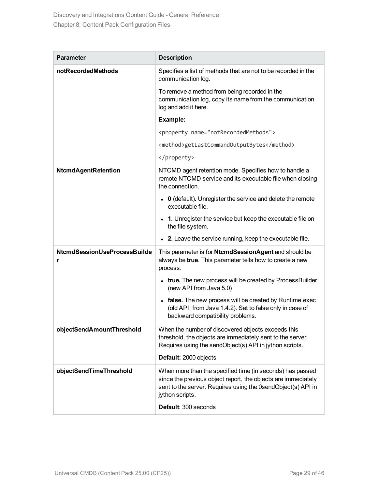| <b>Parameter</b>                         | <b>Description</b>                                                                                                                                                                                            |
|------------------------------------------|---------------------------------------------------------------------------------------------------------------------------------------------------------------------------------------------------------------|
| notRecordedMethods                       | Specifies a list of methods that are not to be recorded in the<br>communication log.                                                                                                                          |
|                                          | To remove a method from being recorded in the<br>communication log, copy its name from the communication<br>log and add it here.                                                                              |
|                                          | Example:                                                                                                                                                                                                      |
|                                          | <property name="notRecordedMethods"></property>                                                                                                                                                               |
|                                          | <method>getLastCommandOutputBytes</method>                                                                                                                                                                    |
|                                          |                                                                                                                                                                                                               |
| <b>NtcmdAgentRetention</b>               | NTCMD agent retention mode. Specifies how to handle a<br>remote NTCMD service and its executable file when closing<br>the connection.                                                                         |
|                                          | • 0 (default). Unregister the service and delete the remote<br>executable file.                                                                                                                               |
|                                          | • 1. Unregister the service but keep the executable file on<br>the file system.                                                                                                                               |
|                                          | • 2. Leave the service running, keep the executable file.                                                                                                                                                     |
| <b>NtcmdSessionUseProcessBuilde</b><br>r | This parameter is for NtcmdSessionAgent and should be<br>always be true. This parameter tells how to create a new<br>process.                                                                                 |
|                                          | • true. The new process will be created by Process Builder<br>(new API from Java 5.0)                                                                                                                         |
|                                          | • false. The new process will be created by Runtime.exec<br>(old API, from Java 1.4.2). Set to false only in case of<br>backward compatibility problems.                                                      |
| objectSendAmountThreshold                | When the number of discovered objects exceeds this<br>threshold, the objects are immediately sent to the server.<br>Requires using the sendObject(s) API in jython scripts.                                   |
|                                          | Default: 2000 objects                                                                                                                                                                                         |
| objectSendTimeThreshold                  | When more than the specified time (in seconds) has passed<br>since the previous object report, the objects are immediately<br>sent to the server. Requires using the 0sendObject(s) API in<br>jython scripts. |
|                                          | Default: 300 seconds                                                                                                                                                                                          |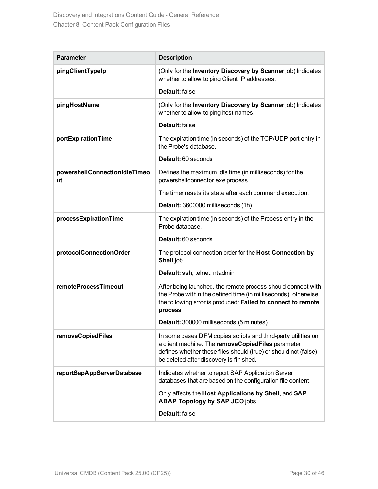| <b>Parameter</b>                    | <b>Description</b>                                                                                                                                                                                                               |
|-------------------------------------|----------------------------------------------------------------------------------------------------------------------------------------------------------------------------------------------------------------------------------|
| pingClientTypelp                    | (Only for the Inventory Discovery by Scanner job) Indicates<br>whether to allow to ping Client IP addresses.                                                                                                                     |
|                                     | Default: false                                                                                                                                                                                                                   |
| pingHostName                        | (Only for the Inventory Discovery by Scanner job) Indicates<br>whether to allow to ping host names.                                                                                                                              |
|                                     | Default: false                                                                                                                                                                                                                   |
| portExpirationTime                  | The expiration time (in seconds) of the TCP/UDP port entry in<br>the Probe's database.                                                                                                                                           |
|                                     | Default: 60 seconds                                                                                                                                                                                                              |
| powershellConnectionIdleTimeo<br>ut | Defines the maximum idle time (in milliseconds) for the<br>powershellconnector.exe process.                                                                                                                                      |
|                                     | The timer resets its state after each command execution.                                                                                                                                                                         |
|                                     | Default: 3600000 milliseconds (1h)                                                                                                                                                                                               |
| processExpirationTime               | The expiration time (in seconds) of the Process entry in the<br>Probe database.                                                                                                                                                  |
|                                     | Default: 60 seconds                                                                                                                                                                                                              |
| protocolConnectionOrder             | The protocol connection order for the Host Connection by<br>Shell job.                                                                                                                                                           |
|                                     | Default: ssh, telnet, ntadmin                                                                                                                                                                                                    |
| remoteProcessTimeout                | After being launched, the remote process should connect with<br>the Probe within the defined time (in milliseconds), otherwise<br>the following error is produced: Failed to connect to remote<br>process.                       |
|                                     | Default: 300000 milliseconds (5 minutes)                                                                                                                                                                                         |
| removeCopiedFiles                   | In some cases DFM copies scripts and third-party utilities on<br>a client machine. The removeCopiedFiles parameter<br>defines whether these files should (true) or should not (false)<br>be deleted after discovery is finished. |
| reportSapAppServerDatabase          | Indicates whether to report SAP Application Server<br>databases that are based on the configuration file content.                                                                                                                |
|                                     | Only affects the Host Applications by Shell, and SAP<br><b>ABAP Topology by SAP JCO jobs.</b>                                                                                                                                    |
|                                     | Default: false                                                                                                                                                                                                                   |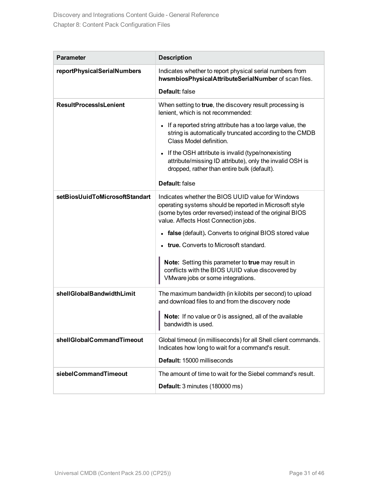| <b>Parameter</b>               | <b>Description</b>                                                                                                                                                                                                                                                                                                                                                                                                                                                      |
|--------------------------------|-------------------------------------------------------------------------------------------------------------------------------------------------------------------------------------------------------------------------------------------------------------------------------------------------------------------------------------------------------------------------------------------------------------------------------------------------------------------------|
| reportPhysicalSerialNumbers    | Indicates whether to report physical serial numbers from<br>hwsmbiosPhysicalAttributeSerialNumber of scan files.                                                                                                                                                                                                                                                                                                                                                        |
|                                | Default: false                                                                                                                                                                                                                                                                                                                                                                                                                                                          |
| <b>ResultProcessIsLenient</b>  | When setting to true, the discovery result processing is<br>lenient, which is not recommended:                                                                                                                                                                                                                                                                                                                                                                          |
|                                | • If a reported string attribute has a too large value, the<br>string is automatically truncated according to the CMDB<br>Class Model definition.                                                                                                                                                                                                                                                                                                                       |
|                                | If the OSH attribute is invalid (type/nonexisting<br>attribute/missing ID attribute), only the invalid OSH is<br>dropped, rather than entire bulk (default).                                                                                                                                                                                                                                                                                                            |
|                                | Default: false                                                                                                                                                                                                                                                                                                                                                                                                                                                          |
| setBiosUuidToMicrosoftStandart | Indicates whether the BIOS UUID value for Windows<br>operating systems should be reported in Microsoft style<br>(some bytes order reversed) instead of the original BIOS<br>value. Affects Host Connection jobs.<br>• false (default). Converts to original BIOS stored value<br>• true. Converts to Microsoft standard.<br>Note: Setting this parameter to true may result in<br>conflicts with the BIOS UUID value discovered by<br>VMware jobs or some integrations. |
| shellGlobalBandwidthLimit      | The maximum bandwidth (in kilobits per second) to upload<br>and download files to and from the discovery node<br>Note: If no value or 0 is assigned, all of the available<br>bandwidth is used.                                                                                                                                                                                                                                                                         |
| shellGlobalCommandTimeout      | Global timeout (in milliseconds) for all Shell client commands.<br>Indicates how long to wait for a command's result.<br>Default: 15000 milliseconds                                                                                                                                                                                                                                                                                                                    |
| siebelCommandTimeout           | The amount of time to wait for the Siebel command's result.<br>Default: 3 minutes (180000 ms)                                                                                                                                                                                                                                                                                                                                                                           |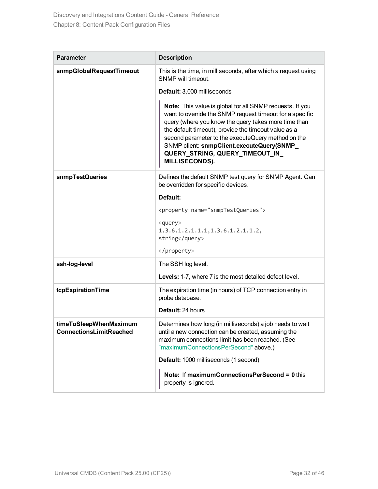<span id="page-31-0"></span>

| <b>Parameter</b>                                  | <b>Description</b>                                                                                                                                                                                                                                                                                                                                                                            |
|---------------------------------------------------|-----------------------------------------------------------------------------------------------------------------------------------------------------------------------------------------------------------------------------------------------------------------------------------------------------------------------------------------------------------------------------------------------|
| snmpGlobalRequestTimeout                          | This is the time, in milliseconds, after which a request using<br>SNMP will timeout.                                                                                                                                                                                                                                                                                                          |
|                                                   | Default: 3,000 milliseconds                                                                                                                                                                                                                                                                                                                                                                   |
|                                                   | Note: This value is global for all SNMP requests. If you<br>want to override the SNMP request timeout for a specific<br>query (where you know the query takes more time than<br>the default timeout), provide the timeout value as a<br>second parameter to the executeQuery method on the<br>SNMP client: snmpClient.executeQuery(SNMP_<br>QUERY_STRING, QUERY_TIMEOUT_IN_<br>MILLISECONDS). |
| snmpTestQueries                                   | Defines the default SNMP test query for SNMP Agent. Can<br>be overridden for specific devices.                                                                                                                                                                                                                                                                                                |
|                                                   | Default:                                                                                                                                                                                                                                                                                                                                                                                      |
|                                                   | <property name="snmpTestQueries"></property>                                                                                                                                                                                                                                                                                                                                                  |
|                                                   | <query><br/>1.3.6.1.2.1.1.1,1.3.6.1.2.1.1.2,<br/>string</query>                                                                                                                                                                                                                                                                                                                               |
|                                                   |                                                                                                                                                                                                                                                                                                                                                                                               |
| ssh-log-level                                     | The SSH log level.                                                                                                                                                                                                                                                                                                                                                                            |
|                                                   | Levels: 1-7, where 7 is the most detailed defect level.                                                                                                                                                                                                                                                                                                                                       |
| tcpExpirationTime                                 | The expiration time (in hours) of TCP connection entry in<br>probe database.                                                                                                                                                                                                                                                                                                                  |
|                                                   | Default: 24 hours                                                                                                                                                                                                                                                                                                                                                                             |
| timeToSleepWhenMaximum<br>ConnectionsLimitReached | Determines how long (in milliseconds) a job needs to wait<br>until a new connection can be created, assuming the<br>maximum connections limit has been reached. (See<br>"maximumConnectionsPerSecond" above.)<br>Default: 1000 milliseconds (1 second)                                                                                                                                        |
|                                                   | Note: If maximumConnectionsPerSecond = 0 this<br>property is ignored.                                                                                                                                                                                                                                                                                                                         |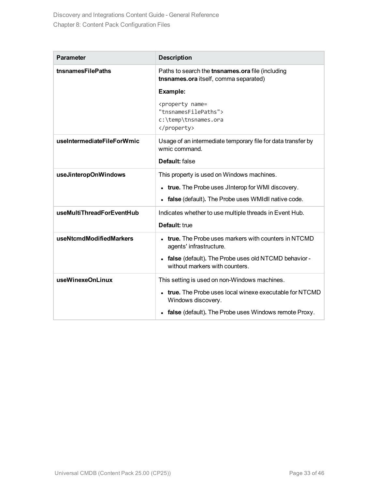Discovery and Integrations Content Guide - General Reference Chapter 8: Content Pack Configuration Files

| <b>Parameter</b>           | <b>Description</b>                                                                        |
|----------------------------|-------------------------------------------------------------------------------------------|
| tnsnamesFilePaths          | Paths to search the tnsnames.ora file (including<br>tnsnames.ora itself, comma separated) |
|                            | Example:                                                                                  |
|                            | <property name="&lt;br">"tnsnamesFilePaths"&gt;<br/>c:\temp\tnsnames.ora<br/></property>  |
| useIntermediateFileForWmic | Usage of an intermediate temporary file for data transfer by<br>wmic command.             |
|                            | Default: false                                                                            |
| useJinteropOnWindows       | This property is used on Windows machines.                                                |
|                            | • true. The Probe uses JInterop for WMI discovery.                                        |
|                            | false (default). The Probe uses WMIdll native code.                                       |
| useMultiThreadForEventHub  | Indicates whether to use multiple threads in Event Hub.                                   |
|                            | Default: true                                                                             |
| useNtcmdModifiedMarkers    | true. The Probe uses markers with counters in NTCMD<br>agents' infrastructure.            |
|                            | • false (default). The Probe uses old NTCMD behavior -<br>without markers with counters.  |
| useWinexeOnLinux           | This setting is used on non-Windows machines.                                             |
|                            | true. The Probe uses local winexe executable for NTCMD<br>Windows discovery.              |
|                            | false (default). The Probe uses Windows remote Proxy.                                     |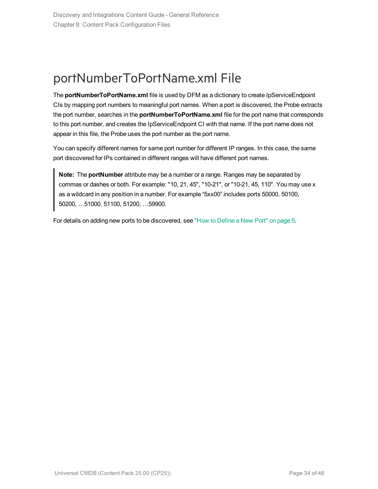## <span id="page-33-0"></span>portNumberToPortName.xml File

The **portNumberToPortName.xml** file is used by DFM as a dictionary to create IpServiceEndpoint CIs by mapping port numbers to meaningful port names. When a port is discovered, the Probe extracts the port number, searches in the **portNumberToPortName.xml** file for the port name that corresponds to this port number, and creates the IpServiceEndpoint CI with that name. If the port name does not appear in this file, the Probe uses the port number as the port name.

You can specify different names for same port number for different IP ranges. In this case, the same port discovered for IPs contained in different ranges will have different port names.

**Note:** The **portNumber** attribute may be a number or a range. Ranges may be separated by commas or dashes or both. For example: "10, 21, 45", "10-21", or "10-21, 45, 110". You may use x as a wildcard in any position in a number. For example "5xx00" includes ports 50000, 50100, 50200, …51000, 51100, 51200, …59900.

For details on adding new ports to be discovered, see "How to [Define](#page-4-0) a New Port" on page 5.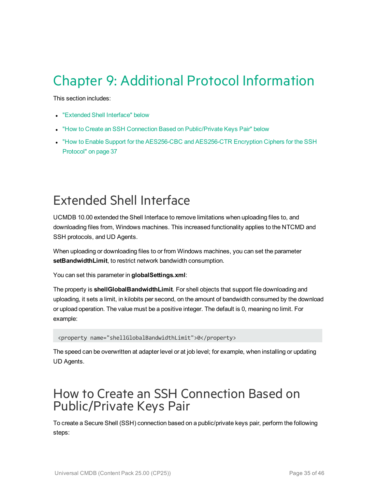## <span id="page-34-0"></span>Chapter 9: Additional Protocol Information

This section includes:

- ["Extended](#page-34-1) Shell Interface" below
- "How to Create an SSH Connection Based on [Public/Private](#page-34-2) Keys Pair" below
- "How to Enable Support for the [AES256-CBC](#page-36-0) and AES256-CTR Encryption Ciphers for the SSH [Protocol"](#page-36-0) on page 37

## <span id="page-34-1"></span>Extended Shell Interface

UCMDB 10.00 extended the Shell Interface to remove limitations when uploading files to, and downloading files from, Windows machines. This increased functionality applies to the NTCMD and SSH protocols, and UD Agents.

When uploading or downloading files to or from Windows machines, you can set the parameter **setBandwidthLimit**, to restrict network bandwidth consumption.

You can set this parameter in **globalSettings.xml**:

The property is **shellGlobalBandwidthLimit**. For shell objects that support file downloading and uploading, it sets a limit, in kilobits per second, on the amount of bandwidth consumed by the download or upload operation. The value must be a positive integer. The default is 0, meaning no limit. For example:

<property name="shellGlobalBandwidthLimit">0</property>

The speed can be overwritten at adapter level or at job level; for example, when installing or updating UD Agents.

### <span id="page-34-2"></span>How to Create an SSH Connection Based on Public/Private Keys Pair

To create a Secure Shell (SSH) connection based on a public/private keys pair, perform the following steps: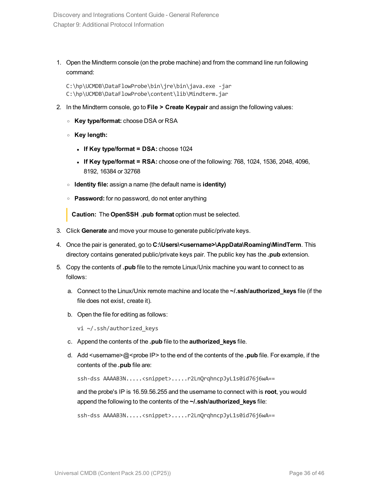1. Open the Mindterm console (on the probe machine) and from the command line run following command:

C:\hp\UCMDB\DataFlowProbe\bin\jre\bin\java.exe -jar C:\hp\UCMDB\DataFlowProbe\content\lib\Mindterm.jar

- 2. In the Mindterm console, go to **File > Create Keypair** and assign the following values:
	- <sup>o</sup> **Key type/format:** choose DSA or RSA
	- <sup>o</sup> **Key length:**
		- <sup>l</sup> **If Key type/format = DSA:** choose 1024
		- <sup>l</sup> **If Key type/format = RSA:** choose one of the following: 768, 1024, 1536, 2048, 4096, 8192, 16384 or 32768
	- <sup>o</sup> **Identity file:** assign a name (the default name is **identity)**
	- <sup>o</sup> **Password:** for no password, do not enter anything

**Caution:** The **OpenSSH .pub format** option must be selected.

- 3. Click **Generate** and move your mouse to generate public/private keys.
- 4. Once the pair is generated, go to **C:\Users\<username>\AppData\Roaming\MindTerm**. This directory contains generated public/private keys pair. The public key has the **.pub** extension.
- 5. Copy the contents of **.pub** file to the remote Linux/Unix machine you want to connect to as follows:
	- a. Connect to the Linux/Unix remote machine and locate the **~/.ssh/authorized\_keys** file (if the file does not exist, create it).
	- b. Open the file for editing as follows:

vi ~/.ssh/authorized keys

- c. Append the contents of the **.pub** file to the **authorized\_keys** file.
- d. Add <username>@<probe IP> to the end of the contents of the **.pub** file. For example, if the contents of the **.pub** file are:

ssh-dss AAAAB3N.....<snippet>.....r2LnQrqhncpJyL1s0id76j6wA==

and the probe's IP is 16.59.56.255 and the username to connect with is **root**, you would append the following to the contents of the **~/.ssh/authorized\_keys** file:

ssh-dss AAAAB3N.....<snippet>.....r2LnQrqhncpJyL1s0id76j6wA==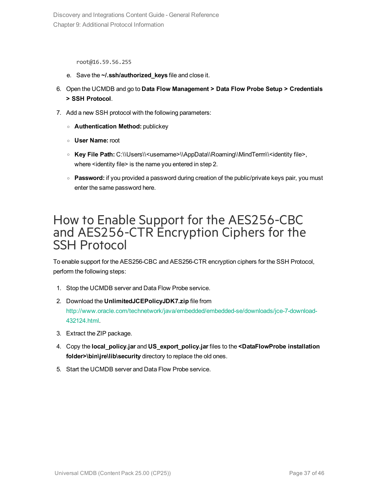root@16.59.56.255

- e. Save the **~/.ssh/authorized\_keys** file and close it.
- 6. Open the UCMDB and go to **Data Flow Management > Data Flow Probe Setup > Credentials > SSH Protocol**.
- 7. Add a new SSH protocol with the following parameters:
	- <sup>o</sup> **Authentication Method:** publickey
	- <sup>o</sup> **User Name:** root
	- <sup>o</sup> **Key File Path:** C:\\Users\\<username>\\AppData\\Roaming\\MindTerm\\<identity file>, where <identity file> is the name you entered in step 2.
	- <sup>o</sup> **Password:** if you provided a password during creation of the public/private keys pair, you must enter the same password here.

### <span id="page-36-0"></span>How to Enable Support for the AES256-CBC and AES256-CTR Encryption Ciphers for the SSH Protocol

To enable support for the AES256-CBC and AES256-CTR encryption ciphers for the SSH Protocol, perform the following steps:

- 1. Stop the UCMDB server and Data Flow Probe service.
- 2. Download the **UnlimitedJCEPolicyJDK7.zip** file from [http://www.oracle.com/technetwork/java/embedded/embedded-se/downloads/jce-7-download-](http://www.oracle.com/technetwork/java/embedded/embedded-se/downloads/jce-7-download-432124.html)[432124.html](http://www.oracle.com/technetwork/java/embedded/embedded-se/downloads/jce-7-download-432124.html).
- 3. Extract the ZIP package.
- 4. Copy the **local\_policy.jar** and **US\_export\_policy.jar** files to the **<DataFlowProbe installation folder>\bin\jre\lib\security** directory to replace the old ones.
- 5. Start the UCMDB server and Data Flow Probe service.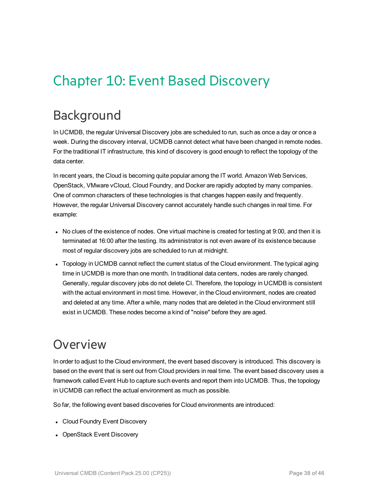## <span id="page-37-0"></span>Chapter 10: Event Based Discovery

## <span id="page-37-1"></span>Background

In UCMDB, the regular Universal Discovery jobs are scheduled to run, such as once a day or once a week. During the discovery interval, UCMDB cannot detect what have been changed in remote nodes. For the traditional IT infrastructure, this kind of discovery is good enough to reflect the topology of the data center.

In recent years, the Cloud is becoming quite popular among the IT world. Amazon Web Services, OpenStack, VMware vCloud, Cloud Foundry, and Docker are rapidly adopted by many companies. One of common characters of these technologies is that changes happen easily and frequently. However, the regular Universal Discovery cannot accurately handle such changes in real time. For example:

- No clues of the existence of nodes. One virtual machine is created for testing at 9:00, and then it is terminated at 16:00 after the testing. Its administrator is not even aware of its existence because most of regular discovery jobs are scheduled to run at midnight.
- Topology in UCMDB cannot reflect the current status of the Cloud environment. The typical aging time in UCMDB is more than one month. In traditional data centers, nodes are rarely changed. Generally, regular discovery jobs do not delete CI. Therefore, the topology in UCMDB is consistent with the actual environment in most time. However, in the Cloud environment, nodes are created and deleted at any time. After a while, many nodes that are deleted in the Cloud environment still exist in UCMDB. These nodes become a kind of "noise" before they are aged.

## <span id="page-37-2"></span>Overview

In order to adjust to the Cloud environment, the event based discovery is introduced. This discovery is based on the event that is sent out from Cloud providers in real time. The event based discovery uses a framework called Event Hub to capture such events and report them into UCMDB. Thus, the topology in UCMDB can reflect the actual environment as much as possible.

So far, the following event based discoveries for Cloud environments are introduced:

- Cloud Foundry Event Discovery
- OpenStack Event Discovery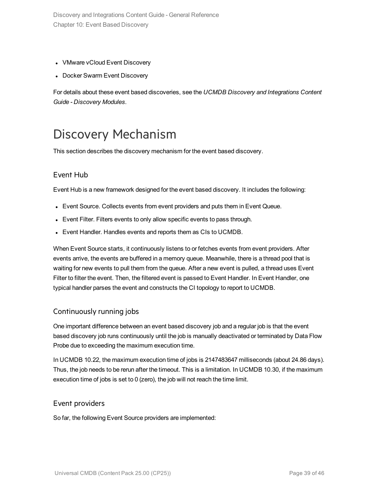- VMware vCloud Event Discovery
- Docker Swarm Event Discovery

For details about these event based discoveries, see the *UCMDB Discovery and Integrations Content Guide - Discovery Modules*.

## <span id="page-38-0"></span>Discovery Mechanism

This section describes the discovery mechanism for the event based discovery.

### Event Hub

Event Hub is a new framework designed for the event based discovery. It includes the following:

- Event Source. Collects events from event providers and puts them in Event Queue.
- Event Filter. Filters events to only allow specific events to pass through.
- Event Handler. Handles events and reports them as CIs to UCMDB.

When Event Source starts, it continuously listens to or fetches events from event providers. After events arrive, the events are buffered in a memory queue. Meanwhile, there is a thread pool that is waiting for new events to pull them from the queue. After a new event is pulled, a thread uses Event Filter to filter the event. Then, the filtered event is passed to Event Handler. In Event Handler, one typical handler parses the event and constructs the CI topology to report to UCMDB.

### Continuously running jobs

One important difference between an event based discovery job and a regular job is that the event based discovery job runs continuously until the job is manually deactivated or terminated by Data Flow Probe due to exceeding the maximum execution time.

In UCMDB 10.22, the maximum execution time of jobs is 2147483647 milliseconds (about 24.86 days). Thus, the job needs to be rerun after the timeout. This is a limitation. In UCMDB 10.30, if the maximum execution time of jobs is set to 0 (zero), the job will not reach the time limit.

### Event providers

So far, the following Event Source providers are implemented: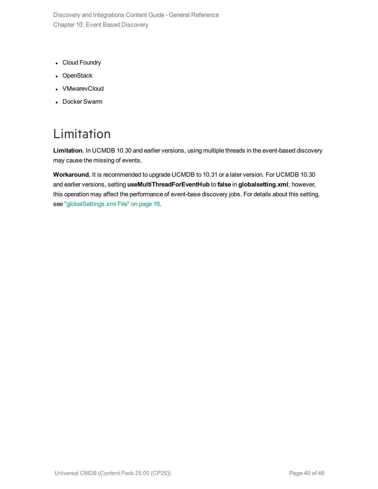Discovery and Integrations Content Guide - General Reference Chapter 10: Event Based Discovery

- Cloud Foundry
- OpenStack
- VMwarevCloud
- Docker Swarm

## <span id="page-39-0"></span>Limitation

**Limitation.** In UCMDB 10.30 and earlier versions, using multiple threads in the event-based discovery may cause the missing of events.

**Workaround.** It is recommended to upgrade UCMDB to 10.31 or a later version. For UCMDB 10.30 and earlier versions, setting **useMultiThreadForEventHub** to **false** in **globalsetting.xml**; however, this operation may affect the performance of event-base discovery jobs. For details about this setting, see ["globalSettings.xml](#page-17-1) File" on page 18.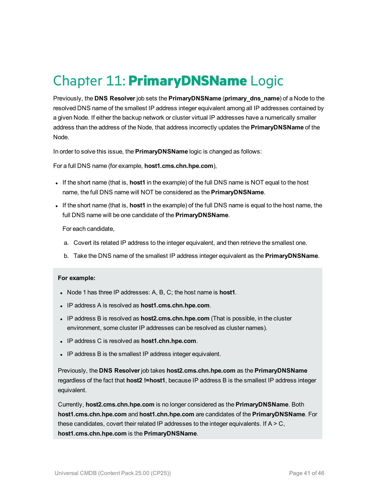## <span id="page-40-0"></span>Chapter 11: **PrimaryDNSName** Logic

Previously, the **DNS Resolver** job sets the **PrimaryDNSName** (**primary\_dns\_name**) of a Node to the resolved DNS name of the smallest IP address integer equivalent among all IP addresses contained by a given Node. If either the backup network or cluster virtual IP addresses have a numerically smaller address than the address of the Node, that address incorrectly updates the **PrimaryDNSName** of the Node.

In order to solve this issue, the **PrimaryDNSName** logic is changed as follows:

For a full DNS name (for example, **host1.cms.chn.hpe.com**),

- If the short name (that is, **host1** in the example) of the full DNS name is NOT equal to the host name, the full DNS name will NOT be considered as the **PrimaryDNSName**.
- If the short name (that is, **host1** in the example) of the full DNS name is equal to the host name, the full DNS name will be one candidate of the **PrimaryDNSName**.

For each candidate,

- a. Covert its related IP address to the integer equivalent, and then retrieve the smallest one.
- b. Take the DNS name of the smallest IP address integer equivalent as the **PrimaryDNSName**.

#### **For example:**

- **Node 1 has three IP addresses: A, B, C; the host name is host1.**
- <sup>l</sup> IP address A is resolved as **host1.cms.chn.hpe.com**.
- IP address B is resolved as **host2.cms.chn.hpe.com** (That is possible, in the cluster environment, some cluster IP addresses can be resolved as cluster names).
- <sup>l</sup> IP address C is resolved as **host1.chn.hpe.com**.
- IP address B is the smallest IP address integer equivalent.

Previously, the **DNS Resolver** job takes **host2.cms.chn.hpe.com** as the **PrimaryDNSName** regardless of the fact that **host2 !=host1**, because IP address B is the smallest IP address integer equivalent.

Currently, **host2.cms.chn.hpe.com** is no longer considered as the **PrimaryDNSName**. Both **host1.cms.chn.hpe.com** and **host1.chn.hpe.com** are candidates of the **PrimaryDNSName**. For these candidates, covert their related IP addresses to the integer equivalents. If  $A > C$ , **host1.cms.chn.hpe.com** is the **PrimaryDNSName**.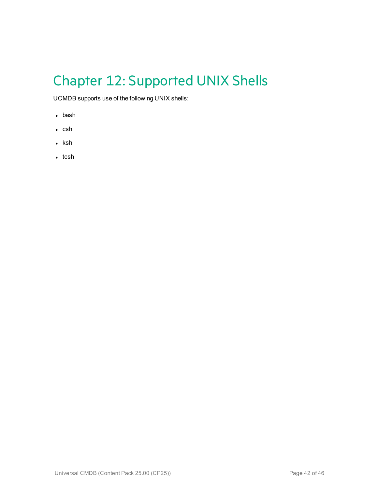# <span id="page-41-0"></span>Chapter 12: Supported UNIX Shells

UCMDB supports use of the following UNIX shells:

- $\bullet$  bash
- $\cdot$  csh
- $\cdot$  ksh
- $\cdot$  tcsh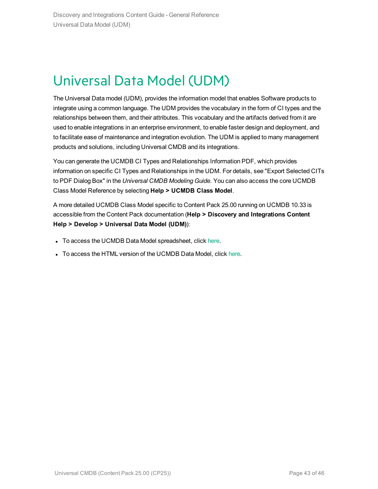# <span id="page-42-0"></span>Universal Data Model (UDM)

The Universal Data model (UDM), provides the information model that enables Software products to integrate using a common language. The UDM provides the vocabulary in the form of CI types and the relationships between them, and their attributes. This vocabulary and the artifacts derived from it are used to enable integrations in an enterprise environment, to enable faster design and deployment, and to facilitate ease of maintenance and integration evolution. The UDM is applied to many management products and solutions, including Universal CMDB and its integrations.

You can generate the UCMDB CI Types and Relationships Information PDF, which provides information on specific CI Types and Relationships in the UDM. For details, see "Export Selected CITs to PDF Dialog Box" in the *Universal CMDB Modeling Guide*. You can also access the core UCMDB Class Model Reference by selecting **Help > UCMDB Class Model**.

A more detailed UCMDB Class Model specific to Content Pack 25.00 running on UCMDB 10.33 is accessible from the Content Pack documentation (**Help > Discovery and Integrations Content Help > Develop > Universal Data Model (UDM)**):

- To access the UCMDB Data Model spreadsheet, click [here.](https://docs.software.hpe.com/UCMDB/25/cp-docs/docs/eng/class_model/CITinfo_expanded.xlsx)
- To access the HTML version of the UCMDB Data Model, click [here](https://docs.software.hpe.com/UCMDB/25/cp-docs/docs/eng/class_model/html/index.html).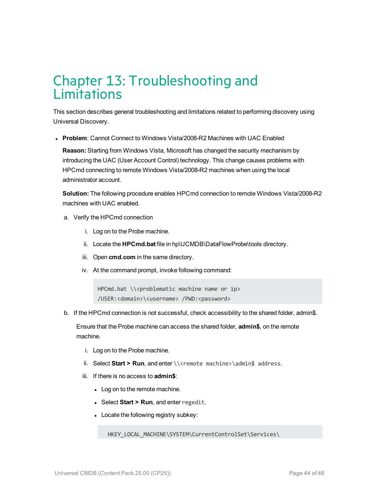## <span id="page-43-0"></span>Chapter 13: Troubleshooting and Limitations

This section describes general troubleshooting and limitations related to performing discovery using Universal Discovery.

**• Problem**: Cannot Connect to Windows Vista/2008-R2 Machines with UAC Enabled

**Reason:** Starting from Windows Vista, Microsoft has changed the security mechanism by introducing the UAC (User Account Control) technology. This change causes problems with HPCmd connecting to remote Windows Vista/2008-R2 machines when using the local administrator account.

**Solution:** The following procedure enables HPCmd connection to remote Windows Vista/2008-R2 machines with UAC enabled.

- <span id="page-43-1"></span>a. Verify the HPCmd connection
	- i. Log on to the Probe machine.
	- ii. Locate the **HPCmd.bat** file in hp\UCMDB\DataFlowProbe\tools directory.
	- iii. Open **cmd.com** in the same directory.
	- iv. At the command prompt, invoke following command:

```
HPCmd.bat \\<problematic machine name or ip>
/USER:<domain>\<username> /PWD:<password>
```
b. If the HPCmd connection is not successful, check accessibility to the shared folder, admin\$.

Ensure that the Probe machine can access the shared folder, **admin\$**, on the remote machine.

- i. Log on to the Probe machine.
- ii. Select **Start > Run**, and enter \\<remote machine>\admin\$ address.
- iii. If there is no access to **admin\$**:
	- Log on to the remote machine.
	- Select Start > Run, and enter regedit.
	- Locate the following registry subkey:

HKEY\_LOCAL\_MACHINE\SYSTEM\CurrentControlSet\Services\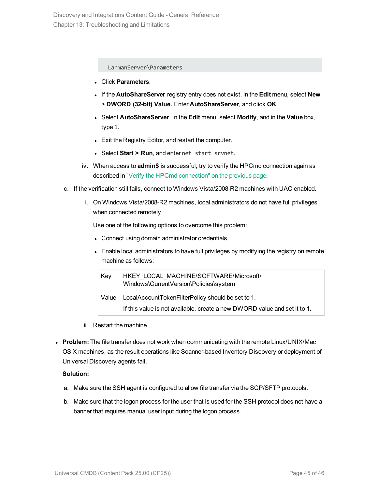LanmanServer\Parameters

- <sup>l</sup> Click **Parameters**.
- <sup>l</sup> If the **AutoShareServer** registry entry does not exist, in the **Edit** menu, select **New** > **DWORD (32-bit) Value.** Enter **AutoShareServer**, and click **OK**.
- <sup>l</sup> Select **AutoShareServer**. In the **Edit** menu, select **Modify**, and in the **Value** box, type 1.
- Exit the Registry Editor, and restart the computer.
- Select **Start > Run**, and enter net start srvnet.
- iv. When access to **admin\$** is successful, try to verify the HPCmd connection again as described in "Verify the HPCmd [connection"](#page-43-1) on the previous page.
- c. If the verification still fails, connect to Windows Vista/2008-R2 machines with UAC enabled.
	- i. On Windows Vista/2008-R2 machines, local administrators do not have full privileges when connected remotely.

Use one of the following options to overcome this problem:

- Connect using domain administrator credentials.
- Enable local administrators to have full privileges by modifying the registry on remote machine as follows:

| Key   | HKEY LOCAL MACHINE\SOFTWARE\Microsoft\<br>Windows\CurrentVersion\Policies\system |
|-------|----------------------------------------------------------------------------------|
| Value | LocalAccountTokenFilterPolicy should be set to 1.                                |
|       | If this value is not available, create a new DWORD value and set it to 1.        |

- ii. Restart the machine.
- Problem: The file transfer does not work when communicating with the remote Linux/UNIX/Mac OS X machines, as the result operations like Scanner-based Inventory Discovery or deployment of Universal Discovery agents fail.

#### **Solution:**

- a. Make sure the SSH agent is configured to allow file transfer via the SCP/SFTP protocols.
- b. Make sure that the logon process for the user that is used for the SSH protocol does not have a banner that requires manual user input during the logon process.